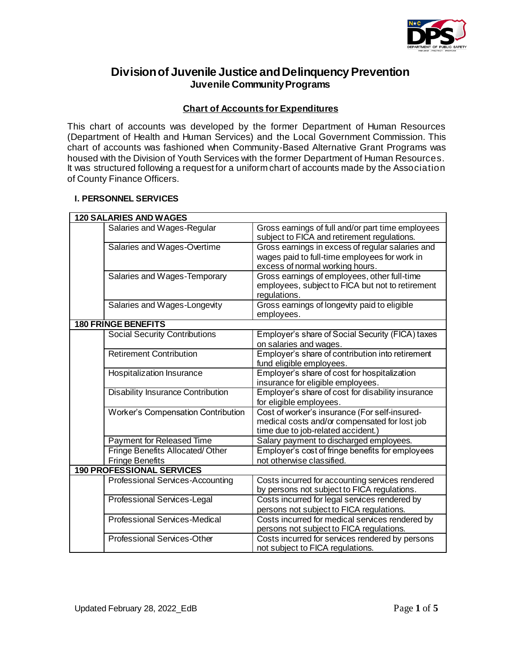

# **Division of Juvenile Justice and Delinquency Prevention Juvenile Community Programs**

## **Chart of Accounts for Expenditures**

This chart of accounts was developed by the former Department of Human Resources (Department of Health and Human Services) and the Local Government Commission. This chart of accounts was fashioned when Community-Based Alternative Grant Programs was housed with the Division of Youth Services with the former Department of Human Resources. It was structured following a request for a uniform chart of accounts made by the Association of County Finance Officers.

### **I. PERSONNEL SERVICES**

|                            | <b>120 SALARIES AND WAGES</b>            |                                                                                                                                      |  |
|----------------------------|------------------------------------------|--------------------------------------------------------------------------------------------------------------------------------------|--|
|                            | Salaries and Wages-Regular               | Gross earnings of full and/or part time employees<br>subject to FICA and retirement regulations.                                     |  |
|                            | Salaries and Wages-Overtime              | Gross earnings in excess of regular salaries and<br>wages paid to full-time employees for work in<br>excess of normal working hours. |  |
|                            | Salaries and Wages-Temporary             | Gross earnings of employees, other full-time<br>employees, subject to FICA but not to retirement<br>regulations.                     |  |
|                            | Salaries and Wages-Longevity             | Gross earnings of longevity paid to eligible<br>employees.                                                                           |  |
| <b>180 FRINGE BENEFITS</b> |                                          |                                                                                                                                      |  |
|                            | <b>Social Security Contributions</b>     | Employer's share of Social Security (FICA) taxes<br>on salaries and wages.                                                           |  |
|                            | <b>Retirement Contribution</b>           | Employer's share of contribution into retirement<br>fund eligible employees.                                                         |  |
|                            | Hospitalization Insurance                | Employer's share of cost for hospitalization<br>insurance for eligible employees.                                                    |  |
|                            | <b>Disability Insurance Contribution</b> | Employer's share of cost for disability insurance<br>for eligible employees.                                                         |  |
|                            | Worker's Compensation Contribution       | Cost of worker's insurance (For self-insured-<br>medical costs and/or compensated for lost job<br>time due to job-related accident.) |  |
|                            | Payment for Released Time                | Salary payment to discharged employees.                                                                                              |  |
|                            | Fringe Benefits Allocated/Other          | Employer's cost of fringe benefits for employees                                                                                     |  |
|                            | <b>Fringe Benefits</b>                   | not otherwise classified.                                                                                                            |  |
|                            | <b>190 PROFESSIONAL SERVICES</b>         |                                                                                                                                      |  |
|                            | <b>Professional Services-Accounting</b>  | Costs incurred for accounting services rendered<br>by persons not subject to FICA regulations.                                       |  |
|                            | <b>Professional Services-Legal</b>       | Costs incurred for legal services rendered by<br>persons not subject to FICA regulations.                                            |  |
|                            | <b>Professional Services-Medical</b>     | Costs incurred for medical services rendered by<br>persons not subject to FICA regulations.                                          |  |
|                            | <b>Professional Services-Other</b>       | Costs incurred for services rendered by persons<br>not subject to FICA regulations.                                                  |  |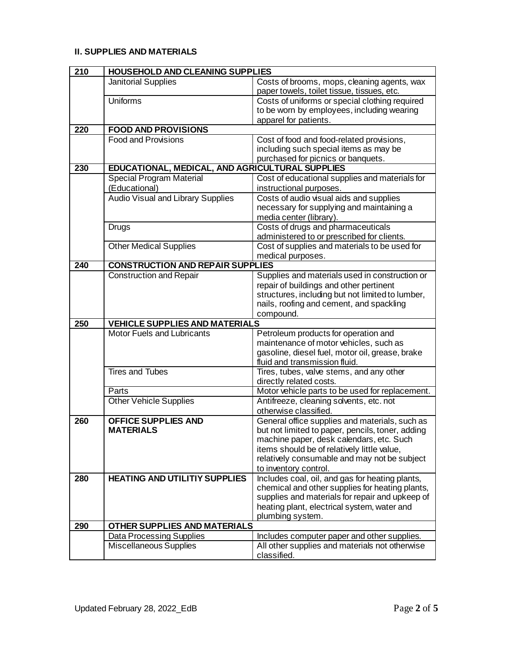## **II. SUPPLIES AND MATERIALS**

| 210 | <b>HOUSEHOLD AND CLEANING SUPPLIES</b>          |                                                                                |
|-----|-------------------------------------------------|--------------------------------------------------------------------------------|
|     | <b>Janitorial Supplies</b>                      | Costs of brooms, mops, cleaning agents, wax                                    |
|     |                                                 | paper towels, toilet tissue, tissues, etc.                                     |
|     | <b>Uniforms</b>                                 | Costs of uniforms or special clothing required                                 |
|     |                                                 | to be worn by employees, including wearing                                     |
|     |                                                 | apparel for patients.                                                          |
| 220 | <b>FOOD AND PROVISIONS</b>                      |                                                                                |
|     | <b>Food and Provisions</b>                      | Cost of food and food-related provisions,                                      |
|     |                                                 | including such special items as may be                                         |
|     |                                                 | purchased for picnics or banquets.                                             |
| 230 | EDUCATIONAL, MEDICAL, AND AGRICULTURAL SUPPLIES |                                                                                |
|     | <b>Special Program Material</b>                 | Cost of educational supplies and materials for                                 |
|     | (Educational)                                   | instructional purposes.                                                        |
|     | <b>Audio Visual and Library Supplies</b>        | Costs of audio visual aids and supplies                                        |
|     |                                                 | necessary for supplying and maintaining a                                      |
|     |                                                 | media center (library).                                                        |
|     | <b>Drugs</b>                                    | Costs of drugs and pharmaceuticals                                             |
|     |                                                 | administered to or prescribed for clients.                                     |
|     | <b>Other Medical Supplies</b>                   | Cost of supplies and materials to be used for                                  |
|     |                                                 | medical purposes.                                                              |
| 240 | <b>CONSTRUCTION AND REPAIR SUPPLIES</b>         |                                                                                |
|     | <b>Construction and Repair</b>                  | Supplies and materials used in construction or                                 |
|     |                                                 | repair of buildings and other pertinent                                        |
|     |                                                 | structures, including but not limited to lumber,                               |
|     |                                                 | nails, roofing and cement, and spackling                                       |
|     | <b>VEHICLE SUPPLIES AND MATERIALS</b>           | compound.                                                                      |
| 250 | Motor Fuels and Lubricants                      |                                                                                |
|     |                                                 | Petroleum products for operation and<br>maintenance of motor vehicles, such as |
|     |                                                 | gasoline, diesel fuel, motor oil, grease, brake                                |
|     |                                                 | fluid and transmission fluid.                                                  |
|     | <b>Tires and Tubes</b>                          | Tires, tubes, valve stems, and any other                                       |
|     |                                                 | directly related costs.                                                        |
|     | Parts                                           | Motor vehicle parts to be used for replacement.                                |
|     | <b>Other Vehicle Supplies</b>                   | Antifreeze, cleaning solvents, etc. not                                        |
|     |                                                 | otherwise classified.                                                          |
| 260 | <b>OFFICE SUPPLIES AND</b>                      | General office supplies and materials, such as                                 |
|     | <b>MATERIALS</b>                                | but not limited to paper, pencils, toner, adding                               |
|     |                                                 | machine paper, desk calendars, etc. Such                                       |
|     |                                                 | items should be of relatively little value,                                    |
|     |                                                 | relatively consumable and may not be subject                                   |
|     |                                                 | to inventory control.                                                          |
| 280 | <b>HEATING AND UTILITIY SUPPLIES</b>            | Includes coal, oil, and gas for heating plants,                                |
|     |                                                 | chemical and other supplies for heating plants,                                |
|     |                                                 | supplies and materials for repair and upkeep of                                |
|     |                                                 | heating plant, electrical system, water and                                    |
|     |                                                 | plumbing system.                                                               |
| 290 | <b>OTHER SUPPLIES AND MATERIALS</b>             |                                                                                |
|     | <b>Data Processing Supplies</b>                 | Includes computer paper and other supplies.                                    |
|     | Miscellaneous Supplies                          | All other supplies and materials not otherwise                                 |
|     |                                                 |                                                                                |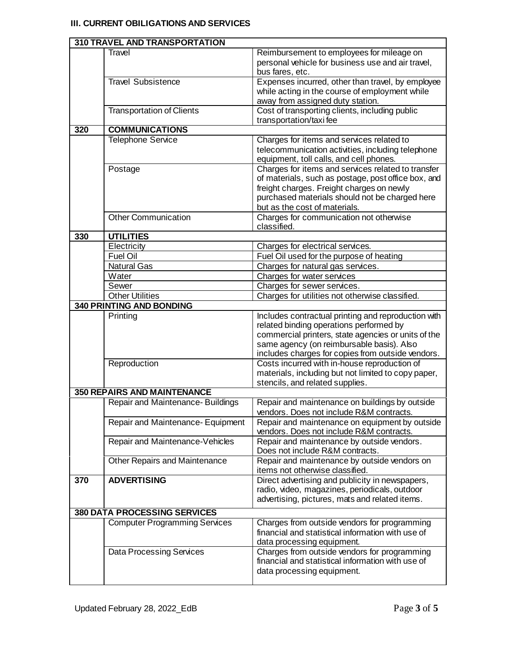## **III. CURRENT OBILIGATIONS AND SERVICES**

|     | <b>310 TRAVEL AND TRANSPORTATION</b> |                                                                                                                                                                                                                                                         |
|-----|--------------------------------------|---------------------------------------------------------------------------------------------------------------------------------------------------------------------------------------------------------------------------------------------------------|
|     | Travel                               | Reimbursement to employees for mileage on<br>personal vehicle for business use and air travel,<br>bus fares, etc.                                                                                                                                       |
|     | <b>Travel Subsistence</b>            | Expenses incurred, other than travel, by employee<br>while acting in the course of employment while<br>away from assigned duty station.                                                                                                                 |
|     | <b>Transportation of Clients</b>     | Cost of transporting clients, including public<br>transportation/taxifee                                                                                                                                                                                |
| 320 | <b>COMMUNICATIONS</b>                |                                                                                                                                                                                                                                                         |
|     | <b>Telephone Service</b>             | Charges for items and services related to<br>telecommunication activities, including telephone<br>equipment, toll calls, and cell phones.                                                                                                               |
|     | Postage                              | Charges for items and services related to transfer<br>of materials, such as postage, post office box, and<br>freight charges. Freight charges on newly<br>purchased materials should not be charged here<br>but as the cost of materials.               |
|     | <b>Other Communication</b>           | Charges for communication not otherwise<br>classified.                                                                                                                                                                                                  |
| 330 | <b>UTILITIES</b>                     |                                                                                                                                                                                                                                                         |
|     | Electricity                          | Charges for electrical services.                                                                                                                                                                                                                        |
|     | <b>Fuel Oil</b>                      | Fuel Oil used for the purpose of heating                                                                                                                                                                                                                |
|     | <b>Natural Gas</b>                   | Charges for natural gas services.                                                                                                                                                                                                                       |
|     | Water                                | Charges for water services                                                                                                                                                                                                                              |
|     | Sewer                                | Charges for sewer services.                                                                                                                                                                                                                             |
|     | <b>Other Utilities</b>               | Charges for utilities not otherwise classified.                                                                                                                                                                                                         |
|     | <b>340 PRINTING AND BONDING</b>      |                                                                                                                                                                                                                                                         |
|     | Printing                             | Includes contractual printing and reproduction with<br>related binding operations performed by<br>commercial printers, state agencies or units of the<br>same agency (on reimbursable basis). Also<br>includes charges for copies from outside vendors. |
|     | Reproduction                         | Costs incurred with in-house reproduction of<br>materials, including but not limited to copy paper,<br>stencils, and related supplies.                                                                                                                  |
|     | <b>350 REPAIRS AND MAINTENANCE</b>   |                                                                                                                                                                                                                                                         |
|     | Repair and Maintenance-Buildings     | Repair and maintenance on buildings by outside<br>vendors. Does not include R&M contracts.                                                                                                                                                              |
|     | Repair and Maintenance- Equipment    | Repair and maintenance on equipment by outside<br>vendors. Does not include R&M contracts.                                                                                                                                                              |
|     | Repair and Maintenance-Vehicles      | Repair and maintenance by outside vendors.<br>Does not include R&M contracts.                                                                                                                                                                           |
|     | <b>Other Repairs and Maintenance</b> | Repair and maintenance by outside vendors on<br>items not otherwise classified.                                                                                                                                                                         |
| 370 | <b>ADVERTISING</b>                   | Direct advertising and publicity in newspapers,<br>radio, video, magazines, periodicals, outdoor<br>advertising, pictures, mats and related items.                                                                                                      |
|     | <b>380 DATA PROCESSING SERVICES</b>  |                                                                                                                                                                                                                                                         |
|     | <b>Computer Programming Services</b> | Charges from outside vendors for programming<br>financial and statistical information with use of<br>data processing equipment.                                                                                                                         |
|     | <b>Data Processing Services</b>      | Charges from outside vendors for programming<br>financial and statistical information with use of<br>data processing equipment.                                                                                                                         |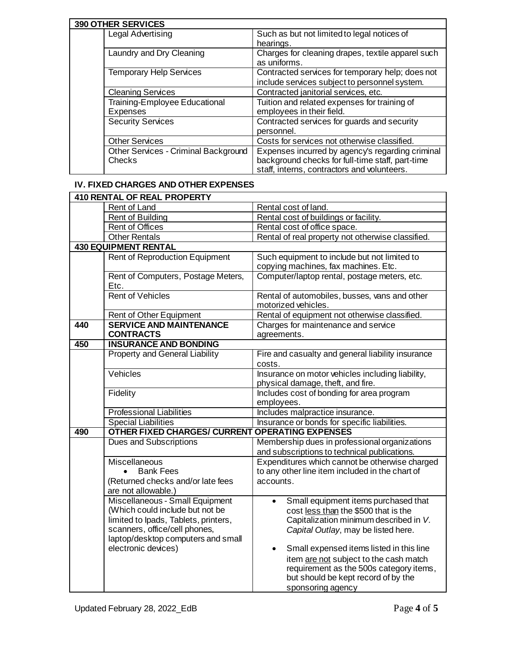| <b>390 OTHER SERVICES</b>                             |                                                                                                                                                     |  |
|-------------------------------------------------------|-----------------------------------------------------------------------------------------------------------------------------------------------------|--|
| Legal Advertising                                     | Such as but not limited to legal notices of<br>hearings.                                                                                            |  |
| Laundry and Dry Cleaning                              | Charges for cleaning drapes, textile apparel such<br>as uniforms.                                                                                   |  |
| <b>Temporary Help Services</b>                        | Contracted services for temporary help; does not<br>include services subject to personnel system.                                                   |  |
| <b>Cleaning Services</b>                              | Contracted janitorial services, etc.                                                                                                                |  |
| Training-Employee Educational<br><b>Expenses</b>      | Tuition and related expenses for training of<br>employees in their field.                                                                           |  |
| <b>Security Services</b>                              | Contracted services for guards and security<br>personnel.                                                                                           |  |
| <b>Other Services</b>                                 | Costs for services not otherwise classified.                                                                                                        |  |
| <b>Other Services - Criminal Background</b><br>Checks | Expenses incurred by agency's regarding criminal<br>background checks for full-time staff, part-time<br>staff, interns, contractors and volunteers. |  |

#### **IV. FIXED CHARGES AND OTHER EXPENSES**

|     | <b>410 RENTAL OF REAL PROPERTY</b>                                                                                                                                                                       |                                                                                                                                                                                                                                                                                                                                                                                      |  |
|-----|----------------------------------------------------------------------------------------------------------------------------------------------------------------------------------------------------------|--------------------------------------------------------------------------------------------------------------------------------------------------------------------------------------------------------------------------------------------------------------------------------------------------------------------------------------------------------------------------------------|--|
|     | Rent of Land                                                                                                                                                                                             | Rental cost of land.                                                                                                                                                                                                                                                                                                                                                                 |  |
|     | Rent of Building                                                                                                                                                                                         | Rental cost of buildings or facility.                                                                                                                                                                                                                                                                                                                                                |  |
|     | <b>Rent of Offices</b>                                                                                                                                                                                   | Rental cost of office space.                                                                                                                                                                                                                                                                                                                                                         |  |
|     | <b>Other Rentals</b>                                                                                                                                                                                     | Rental of real property not otherwise classified.                                                                                                                                                                                                                                                                                                                                    |  |
|     | <b>430 EQUIPMENT RENTAL</b>                                                                                                                                                                              |                                                                                                                                                                                                                                                                                                                                                                                      |  |
|     | Rent of Reproduction Equipment                                                                                                                                                                           | Such equipment to include but not limited to<br>copying machines, fax machines. Etc.                                                                                                                                                                                                                                                                                                 |  |
|     | Rent of Computers, Postage Meters,<br>Etc.                                                                                                                                                               | Computer/laptop rental, postage meters, etc.                                                                                                                                                                                                                                                                                                                                         |  |
|     | <b>Rent of Vehicles</b>                                                                                                                                                                                  | Rental of automobiles, busses, vans and other<br>motorized vehicles.                                                                                                                                                                                                                                                                                                                 |  |
|     | Rent of Other Equipment                                                                                                                                                                                  | Rental of equipment not otherwise classified.                                                                                                                                                                                                                                                                                                                                        |  |
| 440 | <b>SERVICE AND MAINTENANCE</b><br><b>CONTRACTS</b>                                                                                                                                                       | Charges for maintenance and service<br>agreements.                                                                                                                                                                                                                                                                                                                                   |  |
| 450 | <b>INSURANCE AND BONDING</b>                                                                                                                                                                             |                                                                                                                                                                                                                                                                                                                                                                                      |  |
|     | <b>Property and General Liability</b>                                                                                                                                                                    | Fire and casualty and general liability insurance<br>costs.                                                                                                                                                                                                                                                                                                                          |  |
|     | Vehicles                                                                                                                                                                                                 | Insurance on motor vehicles including liability,<br>physical damage, theft, and fire.                                                                                                                                                                                                                                                                                                |  |
|     | Fidelity                                                                                                                                                                                                 | Includes cost of bonding for area program<br>employees.                                                                                                                                                                                                                                                                                                                              |  |
|     | <b>Professional Liabilities</b>                                                                                                                                                                          | Includes malpractice insurance.                                                                                                                                                                                                                                                                                                                                                      |  |
|     | <b>Special Liabilities</b>                                                                                                                                                                               | Insurance or bonds for specific liabilities.                                                                                                                                                                                                                                                                                                                                         |  |
| 490 | <b>OTHER FIXED CHARGES/ CURRENT OPERATING EXPENSES</b>                                                                                                                                                   |                                                                                                                                                                                                                                                                                                                                                                                      |  |
|     | <b>Dues and Subscriptions</b>                                                                                                                                                                            | Membership dues in professional organizations<br>and subscriptions to technical publications.                                                                                                                                                                                                                                                                                        |  |
|     | Miscellaneous<br><b>Bank Fees</b><br>(Returned checks and/or late fees<br>are not allowable.)                                                                                                            | Expenditures which cannot be otherwise charged<br>to any other line item included in the chart of<br>accounts.                                                                                                                                                                                                                                                                       |  |
|     | Miscellaneous - Small Equipment<br>(Which could include but not be<br>limited to Ipads, Tablets, printers,<br>scanners, office/cell phones,<br>laptop/desktop computers and small<br>electronic devices) | Small equipment items purchased that<br>$\bullet$<br>cost less than the \$500 that is the<br>Capitalization minimum described in V.<br>Capital Outlay, may be listed here.<br>Small expensed items listed in this line<br>$\bullet$<br>item are not subject to the cash match<br>requirement as the 500s category items,<br>but should be kept record of by the<br>sponsoring agency |  |